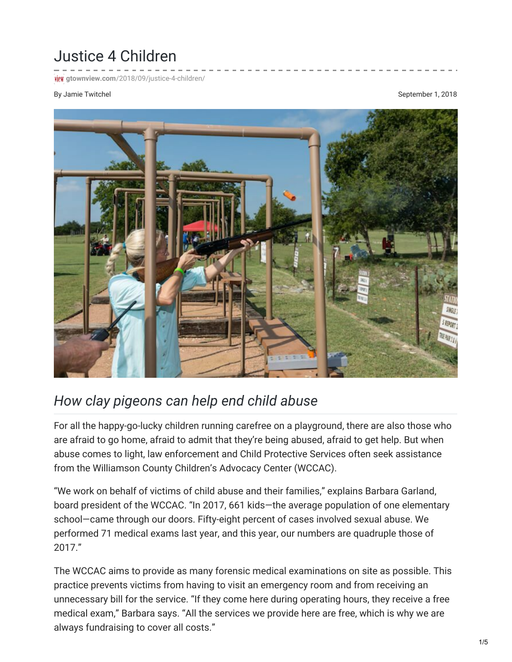## Justice 4 Children

**iew** gtownview.com[/2018/09/justice-4-children/](http://gtownview.com/2018/09/justice-4-children/)

## By Jamie Twitchel **September 1, 2018** September 1, 2018



## *How clay pigeons can help end child abuse*

For all the happy-go-lucky children running carefree on a playground, there are also those who are afraid to go home, afraid to admit that they're being abused, afraid to get help. But when abuse comes to light, law enforcement and Child Protective Services often seek assistance from the Williamson County Children's Advocacy Center (WCCAC).

"We work on behalf of victims of child abuse and their families," explains Barbara Garland, board president of the WCCAC. "In 2017, 661 kids—the average population of one elementary school—came through our doors. Fifty-eight percent of cases involved sexual abuse. We performed 71 medical exams last year, and this year, our numbers are quadruple those of 2017."

The WCCAC aims to provide as many forensic medical examinations on site as possible. This practice prevents victims from having to visit an emergency room and from receiving an unnecessary bill for the service. "If they come here during operating hours, they receive a free medical exam," Barbara says. "All the services we provide here are free, which is why we are always fundraising to cover all costs."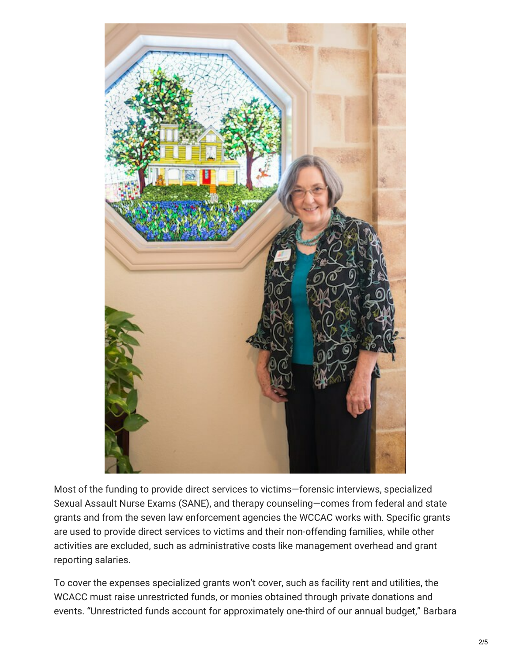

Most of the funding to provide direct services to victims—forensic interviews, specialized Sexual Assault Nurse Exams (SANE), and therapy counseling—comes from federal and state grants and from the seven law enforcement agencies the WCCAC works with. Specific grants are used to provide direct services to victims and their non-offending families, while other activities are excluded, such as administrative costs like management overhead and grant reporting salaries.

To cover the expenses specialized grants won't cover, such as facility rent and utilities, the WCACC must raise unrestricted funds, or monies obtained through private donations and events. "Unrestricted funds account for approximately one-third of our annual budget," Barbara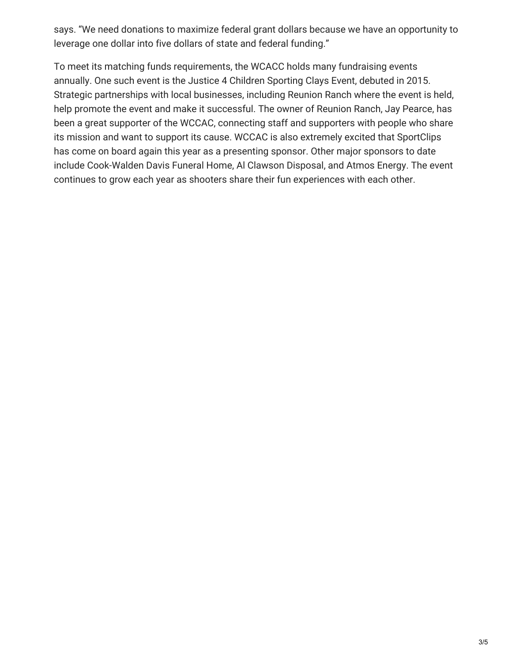says. "We need donations to maximize federal grant dollars because we have an opportunity to leverage one dollar into five dollars of state and federal funding."

To meet its matching funds requirements, the WCACC holds many fundraising events annually. One such event is the Justice 4 Children Sporting Clays Event, debuted in 2015. Strategic partnerships with local businesses, including Reunion Ranch where the event is held, help promote the event and make it successful. The owner of Reunion Ranch, Jay Pearce, has been a great supporter of the WCCAC, connecting staff and supporters with people who share its mission and want to support its cause. WCCAC is also extremely excited that SportClips has come on board again this year as a presenting sponsor. Other major sponsors to date include Cook-Walden Davis Funeral Home, Al Clawson Disposal, and Atmos Energy. The event continues to grow each year as shooters share their fun experiences with each other.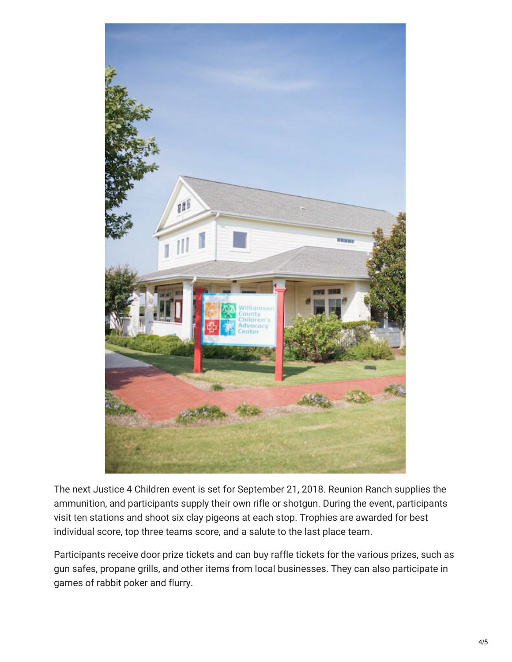

The next Justice 4 Children event is set for September 21, 2018. Reunion Ranch supplies the ammunition, and participants supply their own rifle or shotgun. During the event, participants visit ten stations and shoot six clay pigeons at each stop. Trophies are awarded for best individual score, top three teams score, and a salute to the last place team.

Participants receive door prize tickets and can buy raffle tickets for the various prizes, such as gun safes, propane grills, and other items from local businesses. They can also participate in games of rabbit poker and flurry.